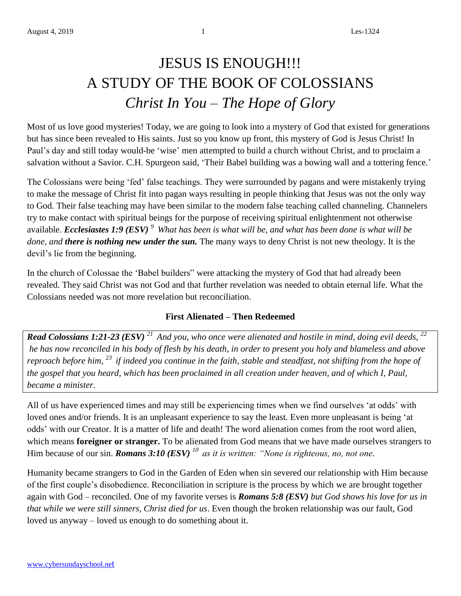# JESUS IS ENOUGH!!! A STUDY OF THE BOOK OF COLOSSIANS *Christ In You – The Hope of Glory*

Most of us love good mysteries! Today, we are going to look into a mystery of God that existed for generations but has since been revealed to His saints. Just so you know up front, this mystery of God is Jesus Christ! In Paul's day and still today would-be 'wise' men attempted to build a church without Christ, and to proclaim a salvation without a Savior. C.H. Spurgeon said, 'Their Babel building was a bowing wall and a tottering fence.'

The Colossians were being 'fed' false teachings. They were surrounded by pagans and were mistakenly trying to make the message of Christ fit into pagan ways resulting in people thinking that Jesus was not the only way to God. Their false teaching may have been similar to the modern false teaching called channeling. Channelers try to make contact with spiritual beings for the purpose of receiving spiritual enlightenment not otherwise available. *Ecclesiastes 1:9 (ESV) <sup>9</sup>What has been is what will be, and what has been done is what will be done, and there is nothing new under the sun.* The many ways to deny Christ is not new theology. It is the devil's lie from the beginning.

In the church of Colossae the 'Babel builders" were attacking the mystery of God that had already been revealed. They said Christ was not God and that further revelation was needed to obtain eternal life. What the Colossians needed was not more revelation but reconciliation.

### **First Alienated – Then Redeemed**

*Read Colossians 1:21-23 (ESV) <sup>21</sup>And you, who once were alienated and hostile in mind, doing evil deeds, <sup>22</sup> he has now reconciled in his body of flesh by his death, in order to present you holy and blameless and above reproach before him, <sup>23</sup>if indeed you continue in the faith, stable and steadfast, not shifting from the hope of the gospel that you heard, which has been proclaimed in all creation under heaven, and of which I, Paul, became a minister.*

All of us have experienced times and may still be experiencing times when we find ourselves 'at odds' with loved ones and/or friends. It is an unpleasant experience to say the least. Even more unpleasant is being 'at odds' with our Creator. It is a matter of life and death! The word alienation comes from the root word alien, which means **foreigner or stranger.** To be alienated from God means that we have made ourselves strangers to Him because of our sin. *Romans 3:10 (ESV) <sup>10</sup>as it is written: "None is righteous, no, not one.*

Humanity became strangers to God in the Garden of Eden when sin severed our relationship with Him because of the first couple's disobedience. Reconciliation in scripture is the process by which we are brought together again with God – reconciled. One of my favorite verses is *Romans 5:8 (ESV) but God shows his love for us in that while we were still sinners, Christ died for us*. Even though the broken relationship was our fault, God loved us anyway – loved us enough to do something about it.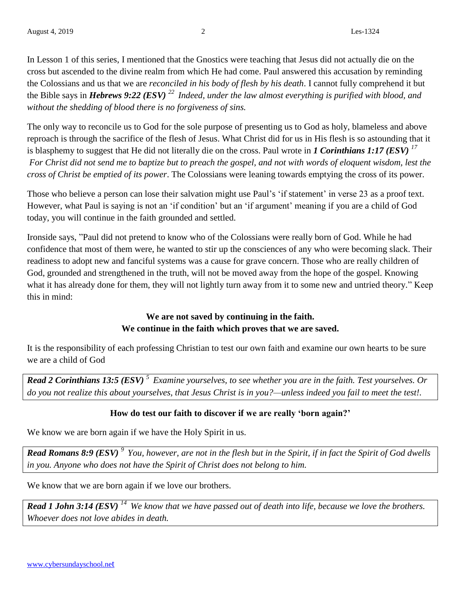In Lesson 1 of this series, I mentioned that the Gnostics were teaching that Jesus did not actually die on the cross but ascended to the divine realm from which He had come. Paul answered this accusation by reminding the Colossians and us that we are *reconciled in his body of flesh by his death*. I cannot fully comprehend it but the Bible says in *Hebrews 9:22 (ESV) <sup>22</sup>Indeed, under the law almost everything is purified with blood, and without the shedding of blood there is no forgiveness of sins.*

The only way to reconcile us to God for the sole purpose of presenting us to God as holy, blameless and above reproach is through the sacrifice of the flesh of Jesus. What Christ did for us in His flesh is so astounding that it is blasphemy to suggest that He did not literally die on the cross. Paul wrote in *1 Corinthians 1:17 (ESV) <sup>17</sup> For Christ did not send me to baptize but to preach the gospel, and not with words of eloquent wisdom, lest the cross of Christ be emptied of its power*. The Colossians were leaning towards emptying the cross of its power.

Those who believe a person can lose their salvation might use Paul's 'if statement' in verse 23 as a proof text. However, what Paul is saying is not an 'if condition' but an 'if argument' meaning if you are a child of God today, you will continue in the faith grounded and settled.

Ironside says, "Paul did not pretend to know who of the Colossians were really born of God. While he had confidence that most of them were, he wanted to stir up the consciences of any who were becoming slack. Their readiness to adopt new and fanciful systems was a cause for grave concern. Those who are really children of God, grounded and strengthened in the truth, will not be moved away from the hope of the gospel. Knowing what it has already done for them, they will not lightly turn away from it to some new and untried theory." Keep this in mind:

## **We are not saved by continuing in the faith. We continue in the faith which proves that we are saved.**

It is the responsibility of each professing Christian to test our own faith and examine our own hearts to be sure we are a child of God

*Read 2 Corinthians 13:5 (ESV) <sup>5</sup>Examine yourselves, to see whether you are in the faith. Test yourselves. Or do you not realize this about yourselves, that Jesus Christ is in you?—unless indeed you fail to meet the test!.*

## **How do test our faith to discover if we are really 'born again?'**

We know we are born again if we have the Holy Spirit in us.

*Read Romans 8:9 (ESV) <sup>9</sup>You, however, are not in the flesh but in the Spirit, if in fact the Spirit of God dwells in you. Anyone who does not have the Spirit of Christ does not belong to him.*

We know that we are born again if we love our brothers.

*Read 1 John 3:14 (ESV) <sup>14</sup>We know that we have passed out of death into life, because we love the brothers. Whoever does not love abides in death.*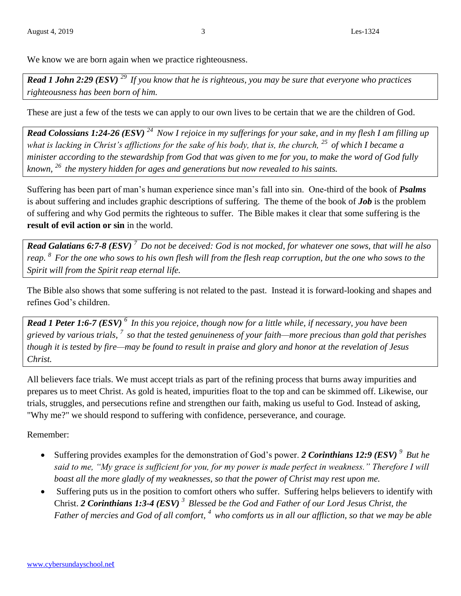We know we are born again when we practice righteousness.

*Read 1 John 2:29 (ESV) <sup>29</sup>If you know that he is righteous, you may be sure that everyone who practices righteousness has been born of him.*

These are just a few of the tests we can apply to our own lives to be certain that we are the children of God.

*Read Colossians 1:24-26 (ESV) <sup>24</sup>Now I rejoice in my sufferings for your sake, and in my flesh I am filling up what is lacking in Christ's afflictions for the sake of his body, that is, the church, <sup>25</sup>of which I became a minister according to the stewardship from God that was given to me for you, to make the word of God fully known, <sup>26</sup>the mystery hidden for ages and generations but now revealed to his saints.*

Suffering has been part of man's human experience since man's fall into sin. One-third of the book of *Psalms* is about suffering and includes graphic descriptions of suffering. The theme of the book of *Job* is the problem of suffering and why God permits the righteous to suffer. The Bible makes it clear that some suffering is the **result of evil action or sin** in the world.

*Read Galatians 6:7-8 (ESV) <sup>7</sup>Do not be deceived: God is not mocked, for whatever one sows, that will he also reap. <sup>8</sup>For the one who sows to his own flesh will from the flesh reap corruption, but the one who sows to the Spirit will from the Spirit reap eternal life.*

The Bible also shows that some suffering is not related to the past. Instead it is forward-looking and shapes and refines God's children.

*Read 1 Peter 1:6-7 (ESV) <sup>6</sup>In this you rejoice, though now for a little while, if necessary, you have been grieved by various trials, <sup>7</sup>so that the tested genuineness of your faith—more precious than gold that perishes though it is tested by fire—may be found to result in praise and glory and honor at the revelation of Jesus Christ.*

All believers face trials. We must accept trials as part of the refining process that burns away impurities and prepares us to meet Christ. As gold is heated, impurities float to the top and can be skimmed off. Likewise, our trials, struggles, and persecutions refine and strengthen our faith, making us useful to God. Instead of asking, "Why me?" we should respond to suffering with confidence, perseverance, and courage*.* 

Remember:

- Suffering provides examples for the demonstration of God's power. *2 Corinthians 12:9 (ESV) <sup>9</sup>But he said to me, "My grace is sufficient for you, for my power is made perfect in weakness." Therefore I will boast all the more gladly of my weaknesses, so that the power of Christ may rest upon me.*
- Suffering puts us in the position to comfort others who suffer. Suffering helps believers to identify with Christ. *2 Corinthians 1:3-4 (ESV) <sup>3</sup>Blessed be the God and Father of our Lord Jesus Christ, the Father of mercies and God of all comfort, <sup>4</sup>who comforts us in all our affliction, so that we may be able*